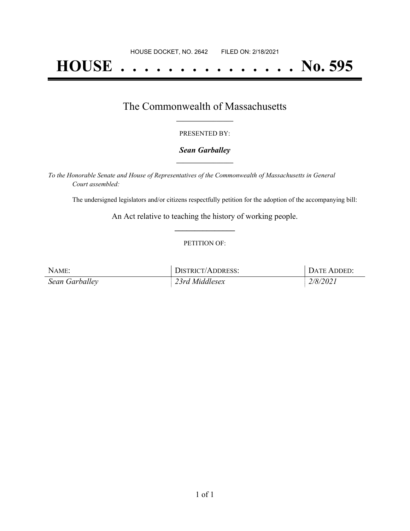# **HOUSE . . . . . . . . . . . . . . . No. 595**

### The Commonwealth of Massachusetts **\_\_\_\_\_\_\_\_\_\_\_\_\_\_\_\_\_**

#### PRESENTED BY:

#### *Sean Garballey* **\_\_\_\_\_\_\_\_\_\_\_\_\_\_\_\_\_**

*To the Honorable Senate and House of Representatives of the Commonwealth of Massachusetts in General Court assembled:*

The undersigned legislators and/or citizens respectfully petition for the adoption of the accompanying bill:

An Act relative to teaching the history of working people. **\_\_\_\_\_\_\_\_\_\_\_\_\_\_\_**

#### PETITION OF:

| NAME:          | DISTRICT/ADDRESS: | DATE ADDED:     |
|----------------|-------------------|-----------------|
| Sean Garballey | 23rd Middlesex    | <i>2/8/2021</i> |